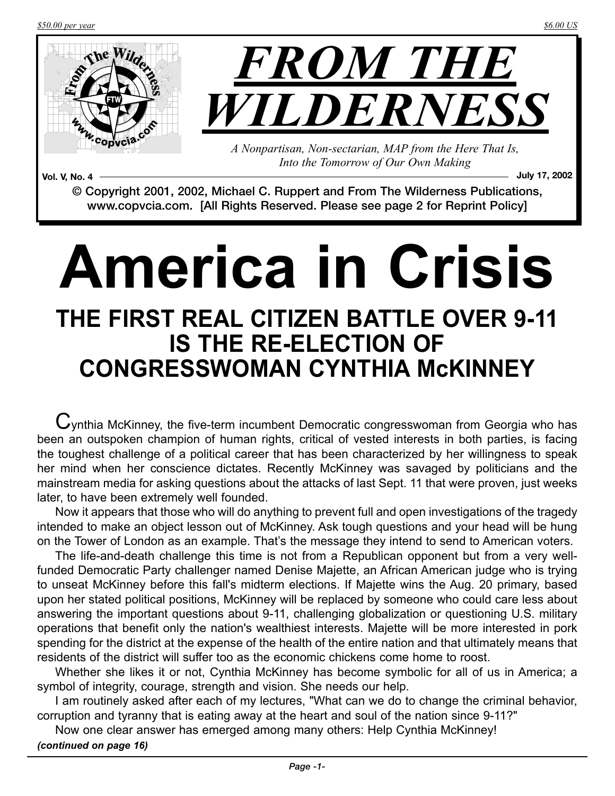

**Vol. V, No. 4 July 17, 2002**

© Copyright 2001, 2002, Michael C. Ruppert and From The Wilderness Publications, www.copvcia.com. [All Rights Reserved. Please see page 2 for Reprint Policy]

# **America in Crisis THE FIRST REAL CITIZEN BATTLE OVER 9-11**

# **IS THE RE-ELECTION OF CONGRESSWOMAN CYNTHIA McKINNEY**

 $C$ ynthia McKinney, the five-term incumbent Democratic congresswoman from Georgia who has been an outspoken champion of human rights, critical of vested interests in both parties, is facing the toughest challenge of a political career that has been characterized by her willingness to speak her mind when her conscience dictates. Recently McKinney was savaged by politicians and the mainstream media for asking questions about the attacks of last Sept. 11 that were proven, just weeks later, to have been extremely well founded.

Now it appears that those who will do anything to prevent full and open investigations of the tragedy intended to make an object lesson out of McKinney. Ask tough questions and your head will be hung on the Tower of London as an example. That's the message they intend to send to American voters.

The life-and-death challenge this time is not from a Republican opponent but from a very wellfunded Democratic Party challenger named Denise Majette, an African American judge who is trying to unseat McKinney before this fall's midterm elections. If Majette wins the Aug. 20 primary, based upon her stated political positions, McKinney will be replaced by someone who could care less about answering the important questions about 9-11, challenging globalization or questioning U.S. military operations that benefit only the nation's wealthiest interests. Majette will be more interested in pork spending for the district at the expense of the health of the entire nation and that ultimately means that residents of the district will suffer too as the economic chickens come home to roost.

Whether she likes it or not, Cynthia McKinney has become symbolic for all of us in America; a symbol of integrity, courage, strength and vision. She needs our help.

I am routinely asked after each of my lectures, "What can we do to change the criminal behavior, corruption and tyranny that is eating away at the heart and soul of the nation since 9-11?"

Now one clear answer has emerged among many others: Help Cynthia McKinney! *(continued on page 16)*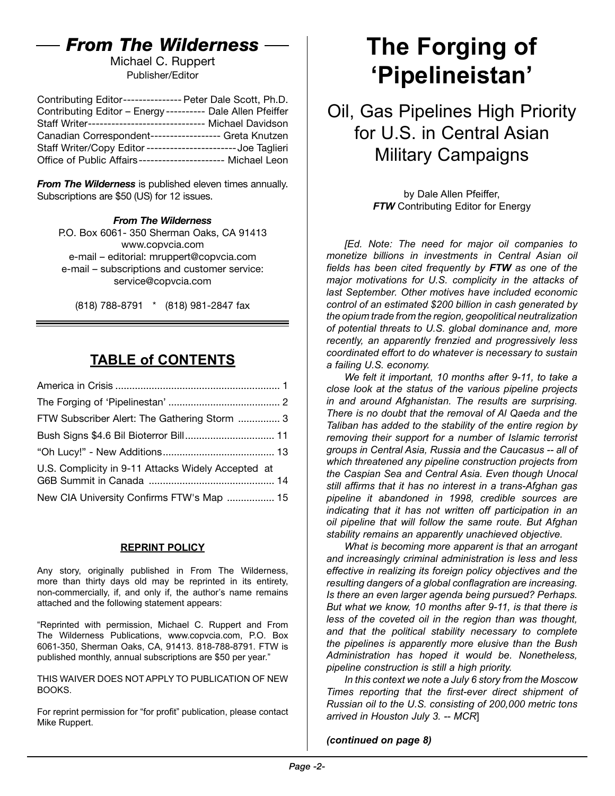# *From The Wilderness*

Michael C. Ruppert Publisher/Editor

| Contributing Editor---------------- Peter Dale Scott, Ph.D.    |  |
|----------------------------------------------------------------|--|
| Contributing Editor - Energy---------- Dale Allen Pfeiffer     |  |
| Staff Writer----------------------------- Michael Davidson     |  |
| Canadian Correspondent------------------ Greta Knutzen         |  |
| Staff Writer/Copy Editor ------------------------ Joe Taglieri |  |
| Office of Public Affairs---------------------- Michael Leon    |  |

*From The Wilderness* is published eleven times annually. Subscriptions are \$50 (US) for 12 issues.

#### *From The Wilderness*

P.O. Box 6061- 350 Sherman Oaks, CA 91413 [www.copvcia.com](http://www.copvcia.com) e-mail – editorial: mruppert@copvcia.com e-mail – subscriptions and customer service: service@copvcia.com

(818) 788-8791 \* (818) 981-2847 fax

### **TABLE of CONTENTS**

| FTW Subscriber Alert: The Gathering Storm  3       |  |
|----------------------------------------------------|--|
|                                                    |  |
|                                                    |  |
| U.S. Complicity in 9-11 Attacks Widely Accepted at |  |
| New CIA University Confirms FTW's Map  15          |  |

#### **REPRINT POLICY**

Any story, originally published in From The Wilderness, more than thirty days old may be reprinted in its entirety, non-commercially, if, and only if, the author's name remains attached and the following statement appears:

"Reprinted with permission, Michael C. Ruppert and From The Wilderness Publications, www.copvcia.com, P.O. Box 6061-350, Sherman Oaks, CA, 91413. 818-788-8791. FTW is published monthly, annual subscriptions are \$50 per year."

THIS WAIVER DOES NOT APPLY TO PUBLICATION OF NEW BOOKS.

For reprint permission for "for profit" publication, please contact Mike Ruppert.

# **The Forging of 'Pipelineistan'**

### Oil, Gas Pipelines High Priority for U.S. in Central Asian Military Campaigns

by Dale Allen Pfeiffer, *FTW* Contributing Editor for Energy

*[Ed. Note: The need for major oil companies to monetize billions in investments in Central Asian oil fields has been cited frequently by FTW as one of the major motivations for U.S. complicity in the attacks of last September. Other motives have included economic control of an estimated \$200 billion in cash generated by the opium trade from the region, geopolitical neutralization of potential threats to U.S. global dominance and, more recently, an apparently frenzied and progressively less coordinated effort to do whatever is necessary to sustain a failing U.S. economy.*

*We felt it important, 10 months after 9-11, to take a close look at the status of the various pipeline projects in and around Afghanistan. The results are surprising. There is no doubt that the removal of Al Qaeda and the Taliban has added to the stability of the entire region by removing their support for a number of Islamic terrorist groups in Central Asia, Russia and the Caucasus -- all of which threatened any pipeline construction projects from the Caspian Sea and Central Asia. Even though Unocal still affirms that it has no interest in a trans-Afghan gas pipeline it abandoned in 1998, credible sources are indicating that it has not written off participation in an oil pipeline that will follow the same route. But Afghan stability remains an apparently unachieved objective.*

*What is becoming more apparent is that an arrogant and increasingly criminal administration is less and less effective in realizing its foreign policy objectives and the resulting dangers of a global conflagration are increasing. Is there an even larger agenda being pursued? Perhaps. But what we know, 10 months after 9-11, is that there is less of the coveted oil in the region than was thought, and that the political stability necessary to complete the pipelines is apparently more elusive than the Bush Administration has hoped it would be. Nonetheless, pipeline construction is still a high priority.*

*In this context we note a July 6 story from the Moscow Times reporting that the first-ever direct shipment of Russian oil to the U.S. consisting of 200,000 metric tons arrived in Houston July 3. -- MCR*]

*(continued on page 8)*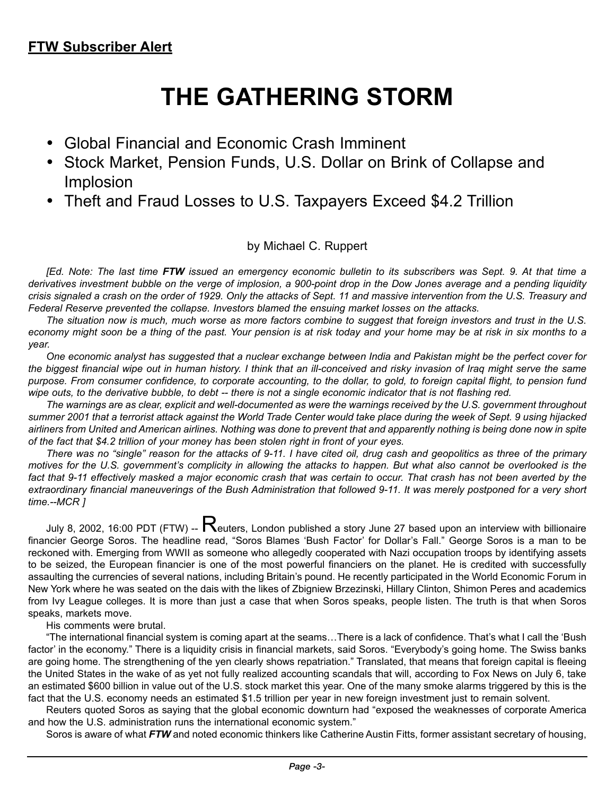# **THE GATHERING STORM**

- Global Financial and Economic Crash Imminent
- Stock Market, Pension Funds, U.S. Dollar on Brink of Collapse and Implosion
- Theft and Fraud Losses to U.S. Taxpayers Exceed \$4.2 Trillion

#### by Michael C. Ruppert

*[Ed. Note: The last time FTW issued an emergency economic bulletin to its subscribers was Sept. 9. At that time a derivatives investment bubble on the verge of implosion, a 900-point drop in the Dow Jones average and a pending liquidity crisis signaled a crash on the order of 1929. Only the attacks of Sept. 11 and massive intervention from the U.S. Treasury and Federal Reserve prevented the collapse. Investors blamed the ensuing market losses on the attacks.*

*The situation now is much, much worse as more factors combine to suggest that foreign investors and trust in the U.S. economy might soon be a thing of the past. Your pension is at risk today and your home may be at risk in six months to a year.*

*One economic analyst has suggested that a nuclear exchange between India and Pakistan might be the perfect cover for the biggest financial wipe out in human history. I think that an ill-conceived and risky invasion of Iraq might serve the same purpose. From consumer confidence, to corporate accounting, to the dollar, to gold, to foreign capital flight, to pension fund*  wipe outs, to the derivative bubble, to debt -- there is not a single economic indicator that is not flashing red.

*The warnings are as clear, explicit and well-documented as were the warnings received by the U.S. government throughout summer 2001 that a terrorist attack against the World Trade Center would take place during the week of Sept. 9 using hijacked airliners from United and American airlines. Nothing was done to prevent that and apparently nothing is being done now in spite of the fact that \$4.2 trillion of your money has been stolen right in front of your eyes.* 

*There was no "single" reason for the attacks of 9-11. I have cited oil, drug cash and geopolitics as three of the primary motives for the U.S. government's complicity in allowing the attacks to happen. But what also cannot be overlooked is the*  fact that 9-11 effectively masked a major economic crash that was certain to occur. That crash has not been averted by the *extraordinary financial maneuverings of the Bush Administration that followed 9-11. It was merely postponed for a very short time.--MCR ]*

July 8, 2002, 16:00 PDT (FTW) --  $\mathsf R$ euters, London published a story June 27 based upon an interview with billionaire financier George Soros. The headline read, "Soros Blames 'Bush Factor' for Dollar's Fall." George Soros is a man to be reckoned with. Emerging from WWII as someone who allegedly cooperated with Nazi occupation troops by identifying assets to be seized, the European financier is one of the most powerful financiers on the planet. He is credited with successfully assaulting the currencies of several nations, including Britain's pound. He recently participated in the World Economic Forum in New York where he was seated on the dais with the likes of Zbigniew Brzezinski, Hillary Clinton, Shimon Peres and academics from Ivy League colleges. It is more than just a case that when Soros speaks, people listen. The truth is that when Soros speaks, markets move.

His comments were brutal.

"The international financial system is coming apart at the seams…There is a lack of confidence. That's what I call the 'Bush factor' in the economy." There is a liquidity crisis in financial markets, said Soros. "Everybody's going home. The Swiss banks are going home. The strengthening of the yen clearly shows repatriation." Translated, that means that foreign capital is fleeing the United States in the wake of as yet not fully realized accounting scandals that will, according to Fox News on July 6, take an estimated \$600 billion in value out of the U.S. stock market this year. One of the many smoke alarms triggered by this is the fact that the U.S. economy needs an estimated \$1.5 trillion per year in new foreign investment just to remain solvent.

Reuters quoted Soros as saying that the global economic downturn had "exposed the weaknesses of corporate America and how the U.S. administration runs the international economic system."

Soros is aware of what *FTW* and noted economic thinkers like Catherine Austin Fitts, former assistant secretary of housing,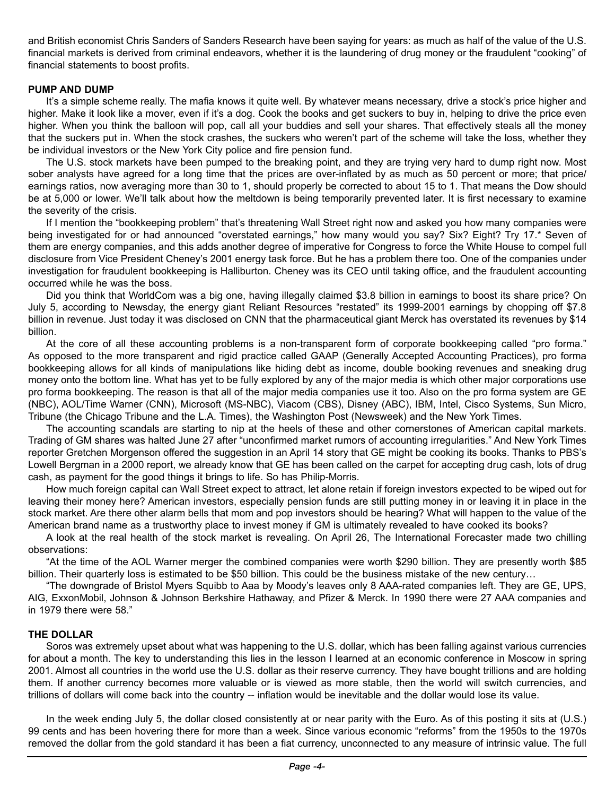and British economist Chris Sanders of Sanders Research have been saying for years: as much as half of the value of the U.S. financial markets is derived from criminal endeavors, whether it is the laundering of drug money or the fraudulent "cooking" of financial statements to boost profits.

#### **PUMP AND DUMP**

It's a simple scheme really. The mafia knows it quite well. By whatever means necessary, drive a stock's price higher and higher. Make it look like a mover, even if it's a dog. Cook the books and get suckers to buy in, helping to drive the price even higher. When you think the balloon will pop, call all your buddies and sell your shares. That effectively steals all the money that the suckers put in. When the stock crashes, the suckers who weren't part of the scheme will take the loss, whether they be individual investors or the New York City police and fire pension fund.

The U.S. stock markets have been pumped to the breaking point, and they are trying very hard to dump right now. Most sober analysts have agreed for a long time that the prices are over-inflated by as much as 50 percent or more; that price/ earnings ratios, now averaging more than 30 to 1, should properly be corrected to about 15 to 1. That means the Dow should be at 5,000 or lower. We'll talk about how the meltdown is being temporarily prevented later. It is first necessary to examine the severity of the crisis.

If I mention the "bookkeeping problem" that's threatening Wall Street right now and asked you how many companies were being investigated for or had announced "overstated earnings," how many would you say? Six? Eight? Try 17.\* Seven of them are energy companies, and this adds another degree of imperative for Congress to force the White House to compel full disclosure from Vice President Cheney's 2001 energy task force. But he has a problem there too. One of the companies under investigation for fraudulent bookkeeping is Halliburton. Cheney was its CEO until taking office, and the fraudulent accounting occurred while he was the boss.

Did you think that WorldCom was a big one, having illegally claimed \$3.8 billion in earnings to boost its share price? On July 5, according to Newsday, the energy giant Reliant Resources "restated" its 1999-2001 earnings by chopping off \$7.8 billion in revenue. Just today it was disclosed on CNN that the pharmaceutical giant Merck has overstated its revenues by \$14 billion.

At the core of all these accounting problems is a non-transparent form of corporate bookkeeping called "pro forma." As opposed to the more transparent and rigid practice called GAAP (Generally Accepted Accounting Practices), pro forma bookkeeping allows for all kinds of manipulations like hiding debt as income, double booking revenues and sneaking drug money onto the bottom line. What has yet to be fully explored by any of the major media is which other major corporations use pro forma bookkeeping. The reason is that all of the major media companies use it too. Also on the pro forma system are GE (NBC), AOL/Time Warner (CNN), Microsoft (MS-NBC), Viacom (CBS), Disney (ABC), IBM, Intel, Cisco Systems, Sun Micro, Tribune (the Chicago Tribune and the L.A. Times), the Washington Post (Newsweek) and the New York Times.

The accounting scandals are starting to nip at the heels of these and other cornerstones of American capital markets. Trading of GM shares was halted June 27 after "unconfirmed market rumors of accounting irregularities." And New York Times reporter Gretchen Morgenson offered the suggestion in an April 14 story that GE might be cooking its books. Thanks to PBS's Lowell Bergman in a 2000 report, we already know that GE has been called on the carpet for accepting drug cash, lots of drug cash, as payment for the good things it brings to life. So has Philip-Morris.

How much foreign capital can Wall Street expect to attract, let alone retain if foreign investors expected to be wiped out for leaving their money here? American investors, especially pension funds are still putting money in or leaving it in place in the stock market. Are there other alarm bells that mom and pop investors should be hearing? What will happen to the value of the American brand name as a trustworthy place to invest money if GM is ultimately revealed to have cooked its books?

A look at the real health of the stock market is revealing. On April 26, The International Forecaster made two chilling observations:

"At the time of the AOL Warner merger the combined companies were worth \$290 billion. They are presently worth \$85 billion. Their quarterly loss is estimated to be \$50 billion. This could be the business mistake of the new century...

"The downgrade of Bristol Myers Squibb to Aaa by Moody's leaves only 8 AAA-rated companies left. They are GE, UPS, AIG, ExxonMobil, Johnson & Johnson Berkshire Hathaway, and Pfizer & Merck. In 1990 there were 27 AAA companies and in 1979 there were 58."

#### **THE DOLLAR**

Soros was extremely upset about what was happening to the U.S. dollar, which has been falling against various currencies for about a month. The key to understanding this lies in the lesson I learned at an economic conference in Moscow in spring 2001. Almost all countries in the world use the U.S. dollar as their reserve currency. They have bought trillions and are holding them. If another currency becomes more valuable or is viewed as more stable, then the world will switch currencies, and trillions of dollars will come back into the country -- inflation would be inevitable and the dollar would lose its value.

In the week ending July 5, the dollar closed consistently at or near parity with the Euro. As of this posting it sits at (U.S.) 99 cents and has been hovering there for more than a week. Since various economic "reforms" from the 1950s to the 1970s removed the dollar from the gold standard it has been a fiat currency, unconnected to any measure of intrinsic value. The full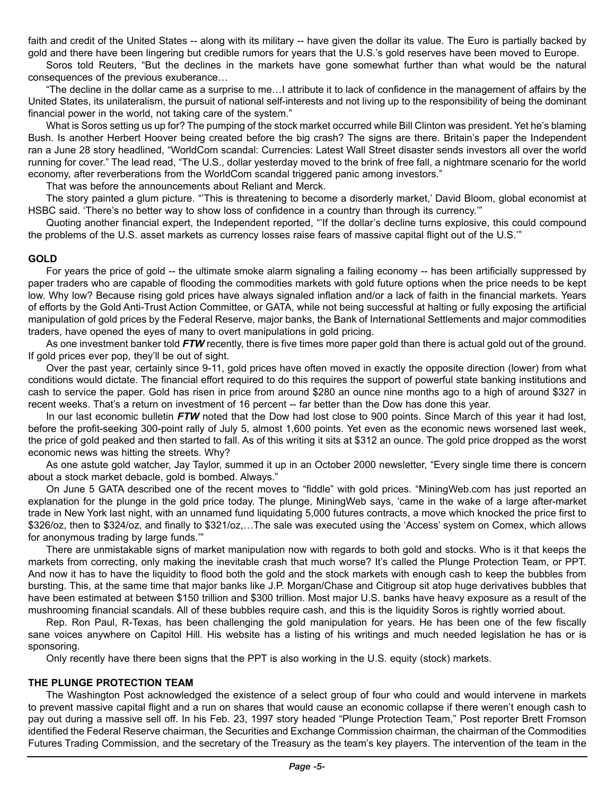faith and credit of the United States -- along with its military -- have given the dollar its value. The Euro is partially backed by gold and there have been lingering but credible rumors for years that the U.S.'s gold reserves have been moved to Europe.

Soros told Reuters, "But the declines in the markets have gone somewhat further than what would be the natural consequences of the previous exuberance…

"The decline in the dollar came as a surprise to me…I attribute it to lack of confidence in the management of affairs by the United States, its unilateralism, the pursuit of national self-interests and not living up to the responsibility of being the dominant financial power in the world, not taking care of the system."

What is Soros setting us up for? The pumping of the stock market occurred while Bill Clinton was president. Yet he's blaming Bush. Is another Herbert Hoover being created before the big crash? The signs are there. Britain's paper the Independent ran a June 28 story headlined, "WorldCom scandal: Currencies: Latest Wall Street disaster sends investors all over the world running for cover." The lead read, "The U.S., dollar yesterday moved to the brink of free fall, a nightmare scenario for the world economy, after reverberations from the WorldCom scandal triggered panic among investors."

That was before the announcements about Reliant and Merck.

The story painted a glum picture. "'This is threatening to become a disorderly market,' David Bloom, global economist at HSBC said. 'There's no better way to show loss of confidence in a country than through its currency.'"

Quoting another financial expert, the Independent reported, "'If the dollar's decline turns explosive, this could compound the problems of the U.S. asset markets as currency losses raise fears of massive capital flight out of the U.S.'"

#### **GOLD**

For years the price of gold -- the ultimate smoke alarm signaling a failing economy -- has been artificially suppressed by paper traders who are capable of flooding the commodities markets with gold future options when the price needs to be kept low. Why low? Because rising gold prices have always signaled inflation and/or a lack of faith in the financial markets. Years of efforts by the Gold Anti-Trust Action Committee, or GATA, while not being successful at halting or fully exposing the artificial manipulation of gold prices by the Federal Reserve, major banks, the Bank of International Settlements and major commodities traders, have opened the eyes of many to overt manipulations in gold pricing.

As one investment banker told *FTW* recently, there is five times more paper gold than there is actual gold out of the ground. If gold prices ever pop, they'll be out of sight.

Over the past year, certainly since 9-11, gold prices have often moved in exactly the opposite direction (lower) from what conditions would dictate. The financial effort required to do this requires the support of powerful state banking institutions and cash to service the paper. Gold has risen in price from around \$280 an ounce nine months ago to a high of around \$327 in recent weeks. That's a return on investment of 16 percent -- far better than the Dow has done this year.

In our last economic bulletin *FTW* noted that the Dow had lost close to 900 points. Since March of this year it had lost, before the profit-seeking 300-point rally of July 5, almost 1,600 points. Yet even as the economic news worsened last week, the price of gold peaked and then started to fall. As of this writing it sits at \$312 an ounce. The gold price dropped as the worst economic news was hitting the streets. Why?

As one astute gold watcher, Jay Taylor, summed it up in an October 2000 newsletter, "Every single time there is concern about a stock market debacle, gold is bombed. Always."

On June 5 GATA described one of the recent moves to "fiddle" with gold prices. "MiningWeb.com has just reported an explanation for the plunge in the gold price today. The plunge, MiningWeb says, 'came in the wake of a large after-market trade in New York last night, with an unnamed fund liquidating 5,000 futures contracts, a move which knocked the price first to \$326/oz, then to \$324/oz, and finally to \$321/oz,…The sale was executed using the 'Access' system on Comex, which allows for anonymous trading by large funds.'"

There are unmistakable signs of market manipulation now with regards to both gold and stocks. Who is it that keeps the markets from correcting, only making the inevitable crash that much worse? It's called the Plunge Protection Team, or PPT. And now it has to have the liquidity to flood both the gold and the stock markets with enough cash to keep the bubbles from bursting. This, at the same time that major banks like J.P. Morgan/Chase and Citigroup sit atop huge derivatives bubbles that have been estimated at between \$150 trillion and \$300 trillion. Most major U.S. banks have heavy exposure as a result of the mushrooming financial scandals. All of these bubbles require cash, and this is the liquidity Soros is rightly worried about.

Rep. Ron Paul, R-Texas, has been challenging the gold manipulation for years. He has been one of the few fiscally sane voices anywhere on Capitol Hill. His website has a listing of his writings and much needed legislation he has or is sponsoring.

Only recently have there been signs that the PPT is also working in the U.S. equity (stock) markets.

#### **THE PLUNGE PROTECTION TEAM**

The Washington Post acknowledged the existence of a select group of four who could and would intervene in markets to prevent massive capital flight and a run on shares that would cause an economic collapse if there weren't enough cash to pay out during a massive sell off. In his Feb. 23, 1997 story headed "Plunge Protection Team," Post reporter Brett Fromson identified the Federal Reserve chairman, the Securities and Exchange Commission chairman, the chairman of the Commodities Futures Trading Commission, and the secretary of the Treasury as the team's key players. The intervention of the team in the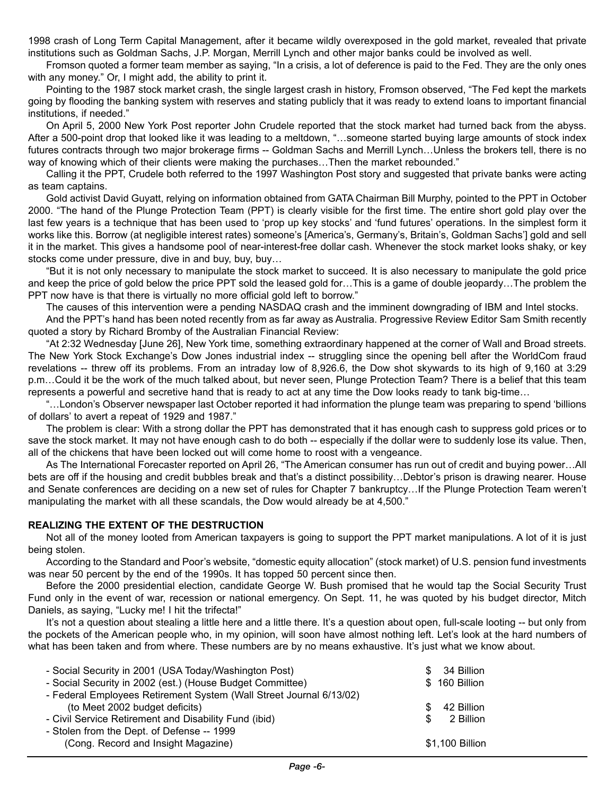1998 crash of Long Term Capital Management, after it became wildly overexposed in the gold market, revealed that private institutions such as Goldman Sachs, J.P. Morgan, Merrill Lynch and other major banks could be involved as well.

Fromson quoted a former team member as saying, "In a crisis, a lot of deference is paid to the Fed. They are the only ones with any money." Or, I might add, the ability to print it.

Pointing to the 1987 stock market crash, the single largest crash in history, Fromson observed, "The Fed kept the markets going by flooding the banking system with reserves and stating publicly that it was ready to extend loans to important financial institutions, if needed."

On April 5, 2000 New York Post reporter John Crudele reported that the stock market had turned back from the abyss. After a 500-point drop that looked like it was leading to a meltdown, "…someone started buying large amounts of stock index futures contracts through two major brokerage firms -- Goldman Sachs and Merrill Lynch...Unless the brokers tell, there is no way of knowing which of their clients were making the purchases...Then the market rebounded."

Calling it the PPT, Crudele both referred to the 1997 Washington Post story and suggested that private banks were acting as team captains.

Gold activist David Guyatt, relying on information obtained from GATA Chairman Bill Murphy, pointed to the PPT in October 2000. "The hand of the Plunge Protection Team (PPT) is clearly visible for the first time. The entire short gold play over the last few years is a technique that has been used to 'prop up key stocks' and 'fund futures' operations. In the simplest form it works like this. Borrow (at negligible interest rates) someone's [America's, Germany's, Britain's, Goldman Sachs'] gold and sell it in the market. This gives a handsome pool of near-interest-free dollar cash. Whenever the stock market looks shaky, or key stocks come under pressure, dive in and buy, buy, buy…

"But it is not only necessary to manipulate the stock market to succeed. It is also necessary to manipulate the gold price and keep the price of gold below the price PPT sold the leased gold for…This is a game of double jeopardy…The problem the PPT now have is that there is virtually no more official gold left to borrow."

The causes of this intervention were a pending NASDAQ crash and the imminent downgrading of IBM and Intel stocks.

And the PPT's hand has been noted recently from as far away as Australia. Progressive Review Editor Sam Smith recently quoted a story by Richard Bromby of the Australian Financial Review:

"At 2:32 Wednesday [June 26], New York time, something extraordinary happened at the corner of Wall and Broad streets. The New York Stock Exchange's Dow Jones industrial index -- struggling since the opening bell after the WorldCom fraud revelations -- threw off its problems. From an intraday low of 8,926.6, the Dow shot skywards to its high of 9,160 at 3:29 p.m…Could it be the work of the much talked about, but never seen, Plunge Protection Team? There is a belief that this team represents a powerful and secretive hand that is ready to act at any time the Dow looks ready to tank big-time…

"…London's Observer newspaper last October reported it had information the plunge team was preparing to spend 'billions of dollars' to avert a repeat of 1929 and 1987."

The problem is clear: With a strong dollar the PPT has demonstrated that it has enough cash to suppress gold prices or to save the stock market. It may not have enough cash to do both -- especially if the dollar were to suddenly lose its value. Then, all of the chickens that have been locked out will come home to roost with a vengeance.

As The International Forecaster reported on April 26, "The American consumer has run out of credit and buying power…All bets are off if the housing and credit bubbles break and that's a distinct possibility…Debtor's prison is drawing nearer. House and Senate conferences are deciding on a new set of rules for Chapter 7 bankruptcy…If the Plunge Protection Team weren't manipulating the market with all these scandals, the Dow would already be at 4,500."

#### **REALIZING THE EXTENT OF THE DESTRUCTION**

Not all of the money looted from American taxpayers is going to support the PPT market manipulations. A lot of it is just being stolen.

According to the Standard and Poor's website, "domestic equity allocation" (stock market) of U.S. pension fund investments was near 50 percent by the end of the 1990s. It has topped 50 percent since then.

Before the 2000 presidential election, candidate George W. Bush promised that he would tap the Social Security Trust Fund only in the event of war, recession or national emergency. On Sept. 11, he was quoted by his budget director, Mitch Daniels, as saying, "Lucky me! I hit the trifecta!"

It's not a question about stealing a little here and a little there. It's a question about open, full-scale looting -- but only from the pockets of the American people who, in my opinion, will soon have almost nothing left. Let's look at the hard numbers of what has been taken and from where. These numbers are by no means exhaustive. It's just what we know about.

| - Social Security in 2001 (USA Today/Washington Post)               | 34 Billion<br>SS. |
|---------------------------------------------------------------------|-------------------|
| - Social Security in 2002 (est.) (House Budget Committee)           | \$ 160 Billion    |
| - Federal Employees Retirement System (Wall Street Journal 6/13/02) |                   |
| (to Meet 2002 budget deficits)                                      | 42 Billion<br>S   |
| - Civil Service Retirement and Disability Fund (ibid)               | 2 Billion<br>£.   |
| - Stolen from the Dept. of Defense -- 1999                          |                   |
| (Cong. Record and Insight Magazine)                                 | \$1,100 Billion   |
|                                                                     |                   |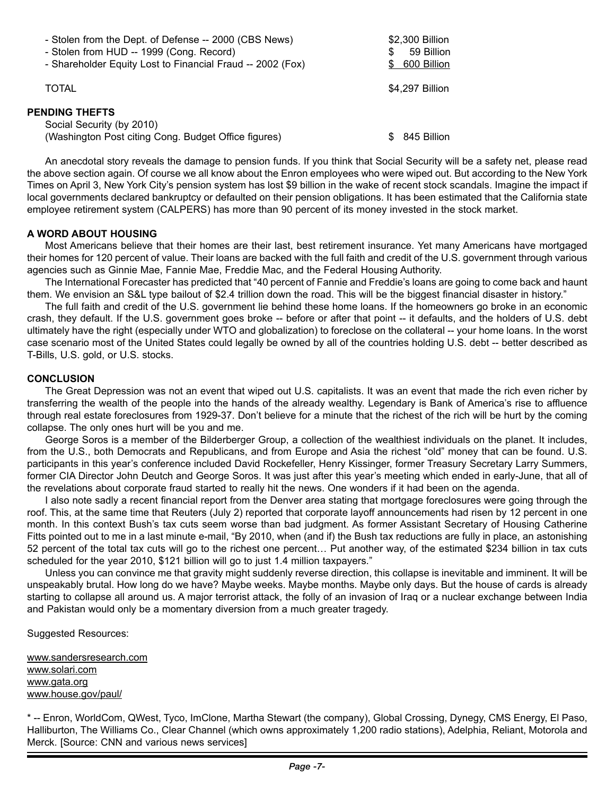| Stolen from the Dept. of Defense -- 2000 (CBS News) |  |  |
|-----------------------------------------------------|--|--|
|-----------------------------------------------------|--|--|

- Stolen from HUD -- 1999 (Cong. Record) \$ 59 Billion
- Shareholder Equity Lost to Financial Fraud -- 2002 (Fox) \$ 600 Billion

TOTAL \$4,297 Billion

#### **PENDING THEFTS**

Social Security (by 2010) (Washington Post citing Cong. Budget Office figures) \$ 845 Billion

\$2,300 Billion

An anecdotal story reveals the damage to pension funds. If you think that Social Security will be a safety net, please read the above section again. Of course we all know about the Enron employees who were wiped out. But according to the New York Times on April 3, New York City's pension system has lost \$9 billion in the wake of recent stock scandals. Imagine the impact if local governments declared bankruptcy or defaulted on their pension obligations. It has been estimated that the California state employee retirement system (CALPERS) has more than 90 percent of its money invested in the stock market.

#### **A WORD ABOUT HOUSING**

Most Americans believe that their homes are their last, best retirement insurance. Yet many Americans have mortgaged their homes for 120 percent of value. Their loans are backed with the full faith and credit of the U.S. government through various agencies such as Ginnie Mae, Fannie Mae, Freddie Mac, and the Federal Housing Authority.

The International Forecaster has predicted that "40 percent of Fannie and Freddie's loans are going to come back and haunt them. We envision an S&L type bailout of \$2.4 trillion down the road. This will be the biggest financial disaster in history."

The full faith and credit of the U.S. government lie behind these home loans. If the homeowners go broke in an economic crash, they default. If the U.S. government goes broke -- before or after that point -- it defaults, and the holders of U.S. debt ultimately have the right (especially under WTO and globalization) to foreclose on the collateral -- your home loans. In the worst case scenario most of the United States could legally be owned by all of the countries holding U.S. debt -- better described as T-Bills, U.S. gold, or U.S. stocks.

#### **CONCLUSION**

The Great Depression was not an event that wiped out U.S. capitalists. It was an event that made the rich even richer by transferring the wealth of the people into the hands of the already wealthy. Legendary is Bank of America's rise to affluence through real estate foreclosures from 1929-37. Don't believe for a minute that the richest of the rich will be hurt by the coming collapse. The only ones hurt will be you and me.

George Soros is a member of the Bilderberger Group, a collection of the wealthiest individuals on the planet. It includes, from the U.S., both Democrats and Republicans, and from Europe and Asia the richest "old" money that can be found. U.S. participants in this year's conference included David Rockefeller, Henry Kissinger, former Treasury Secretary Larry Summers, former CIA Director John Deutch and George Soros. It was just after this year's meeting which ended in early-June, that all of the revelations about corporate fraud started to really hit the news. One wonders if it had been on the agenda.

I also note sadly a recent financial report from the Denver area stating that mortgage foreclosures were going through the roof. This, at the same time that Reuters (July 2) reported that corporate layoff announcements had risen by 12 percent in one month. In this context Bush's tax cuts seem worse than bad judgment. As former Assistant Secretary of Housing Catherine Fitts pointed out to me in a last minute e-mail, "By 2010, when (and if) the Bush tax reductions are fully in place, an astonishing 52 percent of the total tax cuts will go to the richest one percent… Put another way, of the estimated \$234 billion in tax cuts scheduled for the year 2010, \$121 billion will go to just 1.4 million taxpayers."

Unless you can convince me that gravity might suddenly reverse direction, this collapse is inevitable and imminent. It will be unspeakably brutal. How long do we have? Maybe weeks. Maybe months. Maybe only days. But the house of cards is already starting to collapse all around us. A major terrorist attack, the folly of an invasion of Iraq or a nuclear exchange between India and Pakistan would only be a momentary diversion from a much greater tragedy.

Suggested Resources:

[www.sandersresearch.com](http://www.sandersresearch.com) [www.solari.com](http://www.solari.com) [www.gata.org](http://www.gata.org) [www.house.gov/paul/](http://www.house.gov/paul/)

\* -- Enron, WorldCom, QWest, Tyco, ImClone, Martha Stewart (the company), Global Crossing, Dynegy, CMS Energy, El Paso, Halliburton, The Williams Co., Clear Channel (which owns approximately 1,200 radio stations), Adelphia, Reliant, Motorola and Merck. [Source: CNN and various news services]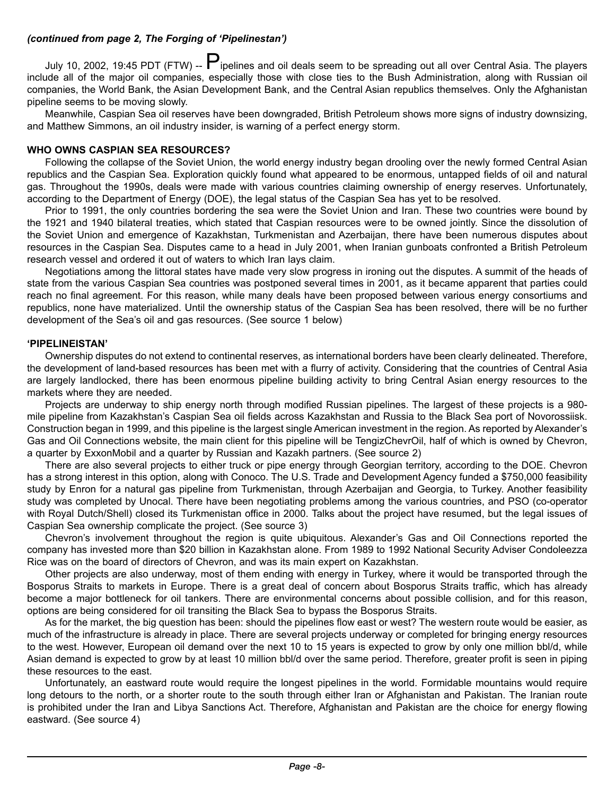#### *(continued from page 2, The Forging of 'Pipelinestan')*

July 10, 2002, 19:45 PDT (FTW) --  $\blacktriangleright$  ipelines and oil deals seem to be spreading out all over Central Asia. The players include all of the major oil companies, especially those with close ties to the Bush Administration, along with Russian oil companies, the World Bank, the Asian Development Bank, and the Central Asian republics themselves. Only the Afghanistan pipeline seems to be moving slowly.

Meanwhile, Caspian Sea oil reserves have been downgraded, British Petroleum shows more signs of industry downsizing, and Matthew Simmons, an oil industry insider, is warning of a perfect energy storm.

#### **WHO OWNS CASPIAN SEA RESOURCES?**

Following the collapse of the Soviet Union, the world energy industry began drooling over the newly formed Central Asian republics and the Caspian Sea. Exploration quickly found what appeared to be enormous, untapped fields of oil and natural gas. Throughout the 1990s, deals were made with various countries claiming ownership of energy reserves. Unfortunately, according to the Department of Energy (DOE), the legal status of the Caspian Sea has yet to be resolved.

Prior to 1991, the only countries bordering the sea were the Soviet Union and Iran. These two countries were bound by the 1921 and 1940 bilateral treaties, which stated that Caspian resources were to be owned jointly. Since the dissolution of the Soviet Union and emergence of Kazakhstan, Turkmenistan and Azerbaijan, there have been numerous disputes about resources in the Caspian Sea. Disputes came to a head in July 2001, when Iranian gunboats confronted a British Petroleum research vessel and ordered it out of waters to which Iran lays claim.

Negotiations among the littoral states have made very slow progress in ironing out the disputes. A summit of the heads of state from the various Caspian Sea countries was postponed several times in 2001, as it became apparent that parties could reach no final agreement. For this reason, while many deals have been proposed between various energy consortiums and republics, none have materialized. Until the ownership status of the Caspian Sea has been resolved, there will be no further development of the Sea's oil and gas resources. (See source 1 below)

#### **'PIPELINEISTAN'**

Ownership disputes do not extend to continental reserves, as international borders have been clearly delineated. Therefore, the development of land-based resources has been met with a flurry of activity. Considering that the countries of Central Asia are largely landlocked, there has been enormous pipeline building activity to bring Central Asian energy resources to the markets where they are needed.

Projects are underway to ship energy north through modified Russian pipelines. The largest of these projects is a 980 mile pipeline from Kazakhstan's Caspian Sea oil fields across Kazakhstan and Russia to the Black Sea port of Novorossiisk. Construction began in 1999, and this pipeline is the largest single American investment in the region. As reported by Alexander's Gas and Oil Connections website, the main client for this pipeline will be TengizChevrOil, half of which is owned by Chevron, a quarter by ExxonMobil and a quarter by Russian and Kazakh partners. (See source 2)

There are also several projects to either truck or pipe energy through Georgian territory, according to the DOE. Chevron has a strong interest in this option, along with Conoco. The U.S. Trade and Development Agency funded a \$750,000 feasibility study by Enron for a natural gas pipeline from Turkmenistan, through Azerbaijan and Georgia, to Turkey. Another feasibility study was completed by Unocal. There have been negotiating problems among the various countries, and PSO (co-operator with Royal Dutch/Shell) closed its Turkmenistan office in 2000. Talks about the project have resumed, but the legal issues of Caspian Sea ownership complicate the project. (See source 3)

Chevron's involvement throughout the region is quite ubiquitous. Alexander's Gas and Oil Connections reported the company has invested more than \$20 billion in Kazakhstan alone. From 1989 to 1992 National Security Adviser Condoleezza Rice was on the board of directors of Chevron, and was its main expert on Kazakhstan.

Other projects are also underway, most of them ending with energy in Turkey, where it would be transported through the Bosporus Straits to markets in Europe. There is a great deal of concern about Bosporus Straits traffic, which has already become a major bottleneck for oil tankers. There are environmental concerns about possible collision, and for this reason, options are being considered for oil transiting the Black Sea to bypass the Bosporus Straits.

As for the market, the big question has been: should the pipelines flow east or west? The western route would be easier, as much of the infrastructure is already in place. There are several projects underway or completed for bringing energy resources to the west. However, European oil demand over the next 10 to 15 years is expected to grow by only one million bbl/d, while Asian demand is expected to grow by at least 10 million bbl/d over the same period. Therefore, greater profit is seen in piping these resources to the east.

Unfortunately, an eastward route would require the longest pipelines in the world. Formidable mountains would require long detours to the north, or a shorter route to the south through either Iran or Afghanistan and Pakistan. The Iranian route is prohibited under the Iran and Libya Sanctions Act. Therefore, Afghanistan and Pakistan are the choice for energy flowing eastward. (See source 4)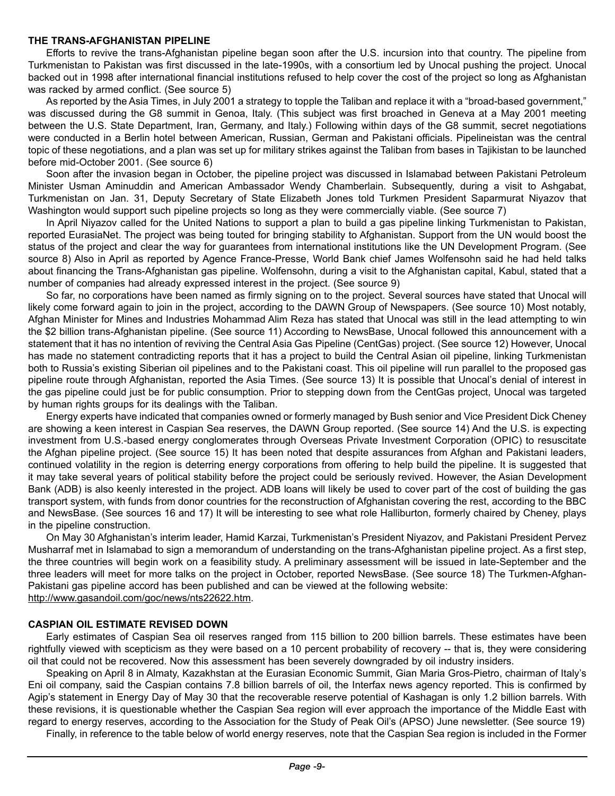#### **THE TRANS-AFGHANISTAN PIPELINE**

Efforts to revive the trans-Afghanistan pipeline began soon after the U.S. incursion into that country. The pipeline from Turkmenistan to Pakistan was first discussed in the late-1990s, with a consortium led by Unocal pushing the project. Unocal backed out in 1998 after international financial institutions refused to help cover the cost of the project so long as Afghanistan was racked by armed conflict. (See source 5)

As reported by the Asia Times, in July 2001 a strategy to topple the Taliban and replace it with a "broad-based government," was discussed during the G8 summit in Genoa, Italy. (This subject was first broached in Geneva at a May 2001 meeting between the U.S. State Department, Iran, Germany, and Italy.) Following within days of the G8 summit, secret negotiations were conducted in a Berlin hotel between American, Russian, German and Pakistani officials. Pipelineistan was the central topic of these negotiations, and a plan was set up for military strikes against the Taliban from bases in Tajikistan to be launched before mid-October 2001. (See source 6)

Soon after the invasion began in October, the pipeline project was discussed in Islamabad between Pakistani Petroleum Minister Usman Aminuddin and American Ambassador Wendy Chamberlain. Subsequently, during a visit to Ashgabat, Turkmenistan on Jan. 31, Deputy Secretary of State Elizabeth Jones told Turkmen President Saparmurat Niyazov that Washington would support such pipeline projects so long as they were commercially viable. (See source 7)

In April Niyazov called for the United Nations to support a plan to build a gas pipeline linking Turkmenistan to Pakistan, reported EurasiaNet. The project was being touted for bringing stability to Afghanistan. Support from the UN would boost the status of the project and clear the way for guarantees from international institutions like the UN Development Program. (See source 8) Also in April as reported by Agence France-Presse, World Bank chief James Wolfensohn said he had held talks about financing the Trans-Afghanistan gas pipeline. Wolfensohn, during a visit to the Afghanistan capital, Kabul, stated that a number of companies had already expressed interest in the project. (See source 9)

So far, no corporations have been named as firmly signing on to the project. Several sources have stated that Unocal will likely come forward again to join in the project, according to the DAWN Group of Newspapers. (See source 10) Most notably, Afghan Minister for Mines and Industries Mohammad Alim Reza has stated that Unocal was still in the lead attempting to win the \$2 billion trans-Afghanistan pipeline. (See source 11) According to NewsBase, Unocal followed this announcement with a statement that it has no intention of reviving the Central Asia Gas Pipeline (CentGas) project. (See source 12) However, Unocal has made no statement contradicting reports that it has a project to build the Central Asian oil pipeline, linking Turkmenistan both to Russia's existing Siberian oil pipelines and to the Pakistani coast. This oil pipeline will run parallel to the proposed gas pipeline route through Afghanistan, reported the Asia Times. (See source 13) It is possible that Unocal's denial of interest in the gas pipeline could just be for public consumption. Prior to stepping down from the CentGas project, Unocal was targeted by human rights groups for its dealings with the Taliban.

Energy experts have indicated that companies owned or formerly managed by Bush senior and Vice President Dick Cheney are showing a keen interest in Caspian Sea reserves, the DAWN Group reported. (See source 14) And the U.S. is expecting investment from U.S.-based energy conglomerates through Overseas Private Investment Corporation (OPIC) to resuscitate the Afghan pipeline project. (See source 15) It has been noted that despite assurances from Afghan and Pakistani leaders, continued volatility in the region is deterring energy corporations from offering to help build the pipeline. It is suggested that it may take several years of political stability before the project could be seriously revived. However, the Asian Development Bank (ADB) is also keenly interested in the project. ADB loans will likely be used to cover part of the cost of building the gas transport system, with funds from donor countries for the reconstruction of Afghanistan covering the rest, according to the BBC and NewsBase. (See sources 16 and 17) It will be interesting to see what role Halliburton, formerly chaired by Cheney, plays in the pipeline construction.

On May 30 Afghanistan's interim leader, Hamid Karzai, Turkmenistan's President Niyazov, and Pakistani President Pervez Musharraf met in Islamabad to sign a memorandum of understanding on the trans-Afghanistan pipeline project. As a first step, the three countries will begin work on a feasibility study. A preliminary assessment will be issued in late-September and the three leaders will meet for more talks on the project in October, reported NewsBase. (See source 18) The Turkmen-Afghan-Pakistani gas pipeline accord has been published and can be viewed at the following website: [http://www.gasandoil.com/goc/news/nts22622.htm.](http://www.gasandoil.com/goc/news/nts22622.htm)

#### **CASPIAN OIL ESTIMATE REVISED DOWN**

Early estimates of Caspian Sea oil reserves ranged from 115 billion to 200 billion barrels. These estimates have been rightfully viewed with scepticism as they were based on a 10 percent probability of recovery -- that is, they were considering oil that could not be recovered. Now this assessment has been severely downgraded by oil industry insiders.

Speaking on April 8 in Almaty, Kazakhstan at the Eurasian Economic Summit, Gian Maria Gros-Pietro, chairman of Italy's Eni oil company, said the Caspian contains 7.8 billion barrels of oil, the Interfax news agency reported. This is confirmed by Agip's statement in Energy Day of May 30 that the recoverable reserve potential of Kashagan is only 1.2 billion barrels. With these revisions, it is questionable whether the Caspian Sea region will ever approach the importance of the Middle East with regard to energy reserves, according to the Association for the Study of Peak Oil's (APSO) June newsletter. (See source 19)

Finally, in reference to the table below of world energy reserves, note that the Caspian Sea region is included in the Former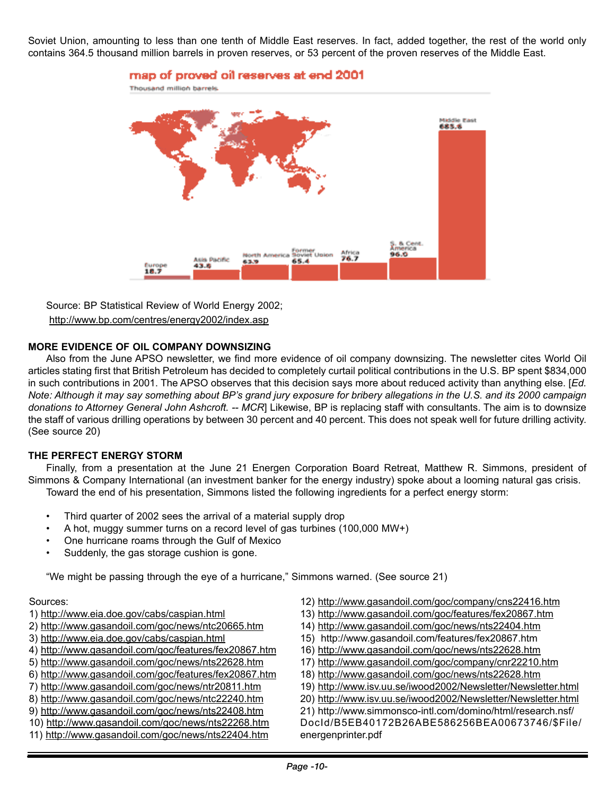Soviet Union, amounting to less than one tenth of Middle East reserves. In fact, added together, the rest of the world only contains 364.5 thousand million barrels in proven reserves, or 53 percent of the proven reserves of the Middle East.



#### map of proved oil reserves at end 2001

Source: BP Statistical Review of World Energy 2002; <http://www.bp.com/centres/energy2002/index.asp>

#### **MORE EVIDENCE OF OIL COMPANY DOWNSIZING**

Also from the June APSO newsletter, we find more evidence of oil company downsizing. The newsletter cites World Oil articles stating first that British Petroleum has decided to completely curtail political contributions in the U.S. BP spent \$834,000 in such contributions in 2001. The APSO observes that this decision says more about reduced activity than anything else. [*Ed. Note: Although it may say something about BP's grand jury exposure for bribery allegations in the U.S. and its 2000 campaign donations to Attorney General John Ashcroft. -- MCR*] Likewise, BP is replacing staff with consultants. The aim is to downsize the staff of various drilling operations by between 30 percent and 40 percent. This does not speak well for future drilling activity. (See source 20)

#### **THE PERFECT ENERGY STORM**

Finally, from a presentation at the June 21 Energen Corporation Board Retreat, Matthew R. Simmons, president of Simmons & Company International (an investment banker for the energy industry) spoke about a looming natural gas crisis. Toward the end of his presentation, Simmons listed the following ingredients for a perfect energy storm:

- Third quarter of 2002 sees the arrival of a material supply drop
- A hot, muggy summer turns on a record level of gas turbines (100,000 MW+)
- One hurricane roams through the Gulf of Mexico
- Suddenly, the gas storage cushion is gone.

"We might be passing through the eye of a hurricane," Simmons warned. (See source 21)

#### Sources:

- 1) <http://www.eia.doe.gov/cabs/caspian.html>
- 2) <http://www.gasandoil.com/goc/news/ntc20665.htm>
- 3) <http://www.eia.doe.gov/cabs/caspian.html>
- 4) <http://www.gasandoil.com/goc/features/fex20867.htm>
- 5) <http://www.gasandoil.com/goc/news/nts22628.htm>
- 6) <http://www.gasandoil.com/goc/features/fex20867.htm>
- 7) <http://www.gasandoil.com/goc/news/ntr20811.htm>
- 8) <http://www.gasandoil.com/goc/news/ntc22240.htm>
- 9) <http://www.gasandoil.com/goc/news/nts22408.htm>
- 10)<http://www.gasandoil.com/goc/news/nts22268.htm>
- 11) <http://www.gasandoil.com/goc/news/nts22404.htm>
- 12) <http://www.gasandoil.com/goc/company/cns22416.htm>
- 13) <http://www.gasandoil.com/goc/features/fex20867.htm>
- 14) <http://www.gasandoil.com/goc/news/nts22404.htm>
- 15) [http://www.gasandoil.com/features/fex20867.htm](http://gasandoil.com/goc/features/fex20867.htm)
- 16) <http://www.gasandoil.com/goc/news/nts22628.htm>
- 17) <http://www.gasandoil.com/goc/company/cnr22210.htm>
- 18) <http://www.gasandoil.com/goc/news/nts22628.htm>
- 19) <http://www.isv.uu.se/iwood2002/Newsletter/Newsletter.html>
- 20) <http://www.isv.uu.se/iwood2002/Newsletter/Newsletter.html>

21) http://www.simmonsco-intl.com/domino/html/research.nsf/ [DocId/B5EB40172B26ABE586256BEA00673746/\\$File/](http://www.simmonsco-intl.com/domino/html/research.nsf/DocId/B5EB40172B26ABE586256BEA00673746/$File/energenprinter.pdf) energenprinter.pdf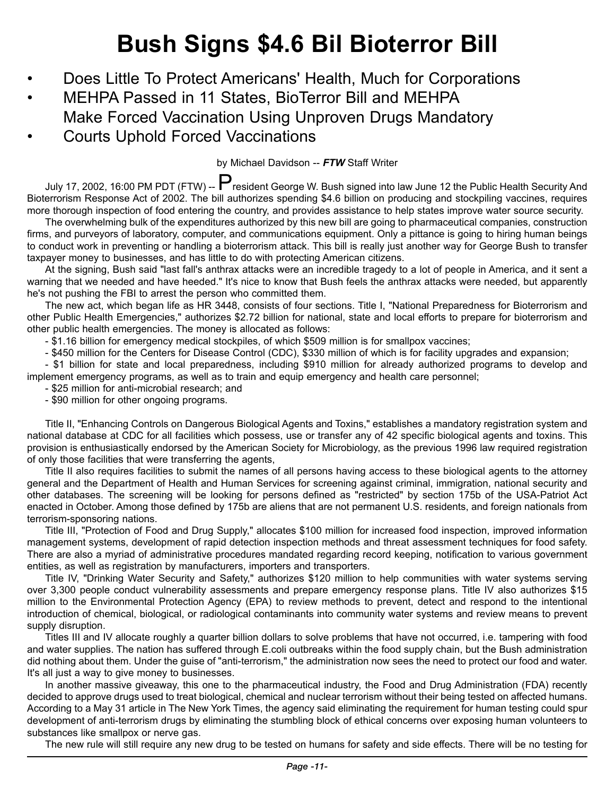# **Bush Signs \$4.6 Bil Bioterror Bill**

- Does Little To Protect Americans' Health, Much for Corporations
- MEHPA Passed in 11 States, BioTerror Bill and MEHPA Make Forced Vaccination Using Unproven Drugs Mandatory
- Courts Uphold Forced Vaccinations

by Michael Davidson -- *FTW* Staff Writer

July 17, 2002, 16:00 PM PDT (FTW) --  $\mathsf P$  resident George W. Bush signed into law June 12 the Public Health Security And Bioterrorism Response Act of 2002. The bill authorizes spending \$4.6 billion on producing and stockpiling vaccines, requires more thorough inspection of food entering the country, and provides assistance to help states improve water source security.

The overwhelming bulk of the expenditures authorized by this new bill are going to pharmaceutical companies, construction firms, and purveyors of laboratory, computer, and communications equipment. Only a pittance is going to hiring human beings to conduct work in preventing or handling a bioterrorism attack. This bill is really just another way for George Bush to transfer taxpayer money to businesses, and has little to do with protecting American citizens.

At the signing, Bush said "last fall's anthrax attacks were an incredible tragedy to a lot of people in America, and it sent a warning that we needed and have heeded." It's nice to know that Bush feels the anthrax attacks were needed, but apparently he's not pushing the FBI to arrest the person who committed them.

The new act, which began life as HR 3448, consists of four sections. Title I, "National Preparedness for Bioterrorism and other Public Health Emergencies," authorizes \$2.72 billion for national, state and local efforts to prepare for bioterrorism and other public health emergencies. The money is allocated as follows:

- \$1.16 billion for emergency medical stockpiles, of which \$509 million is for smallpox vaccines;

- \$450 million for the Centers for Disease Control (CDC), \$330 million of which is for facility upgrades and expansion;

- \$1 billion for state and local preparedness, including \$910 million for already authorized programs to develop and implement emergency programs, as well as to train and equip emergency and health care personnel;

- \$25 million for anti-microbial research; and
- \$90 million for other ongoing programs.

Title II, "Enhancing Controls on Dangerous Biological Agents and Toxins," establishes a mandatory registration system and national database at CDC for all facilities which possess, use or transfer any of 42 specific biological agents and toxins. This provision is enthusiastically endorsed by the American Society for Microbiology, as the previous 1996 law required registration of only those facilities that were transferring the agents,

Title II also requires facilities to submit the names of all persons having access to these biological agents to the attorney general and the Department of Health and Human Services for screening against criminal, immigration, national security and other databases. The screening will be looking for persons defined as "restricted" by section 175b of the USA-Patriot Act enacted in October. Among those defined by 175b are aliens that are not permanent U.S. residents, and foreign nationals from terrorism-sponsoring nations.

Title III, "Protection of Food and Drug Supply," allocates \$100 million for increased food inspection, improved information management systems, development of rapid detection inspection methods and threat assessment techniques for food safety. There are also a myriad of administrative procedures mandated regarding record keeping, notification to various government entities, as well as registration by manufacturers, importers and transporters.

Title IV, "Drinking Water Security and Safety," authorizes \$120 million to help communities with water systems serving over 3,300 people conduct vulnerability assessments and prepare emergency response plans. Title IV also authorizes \$15 million to the Environmental Protection Agency (EPA) to review methods to prevent, detect and respond to the intentional introduction of chemical, biological, or radiological contaminants into community water systems and review means to prevent supply disruption.

Titles III and IV allocate roughly a quarter billion dollars to solve problems that have not occurred, i.e. tampering with food and water supplies. The nation has suffered through E.coli outbreaks within the food supply chain, but the Bush administration did nothing about them. Under the guise of "anti-terrorism," the administration now sees the need to protect our food and water. It's all just a way to give money to businesses.

In another massive giveaway, this one to the pharmaceutical industry, the Food and Drug Administration (FDA) recently decided to approve drugs used to treat biological, chemical and nuclear terrorism without their being tested on affected humans. According to a May 31 article in The New York Times, the agency said eliminating the requirement for human testing could spur development of anti-terrorism drugs by eliminating the stumbling block of ethical concerns over exposing human volunteers to substances like smallpox or nerve gas.

The new rule will still require any new drug to be tested on humans for safety and side effects. There will be no testing for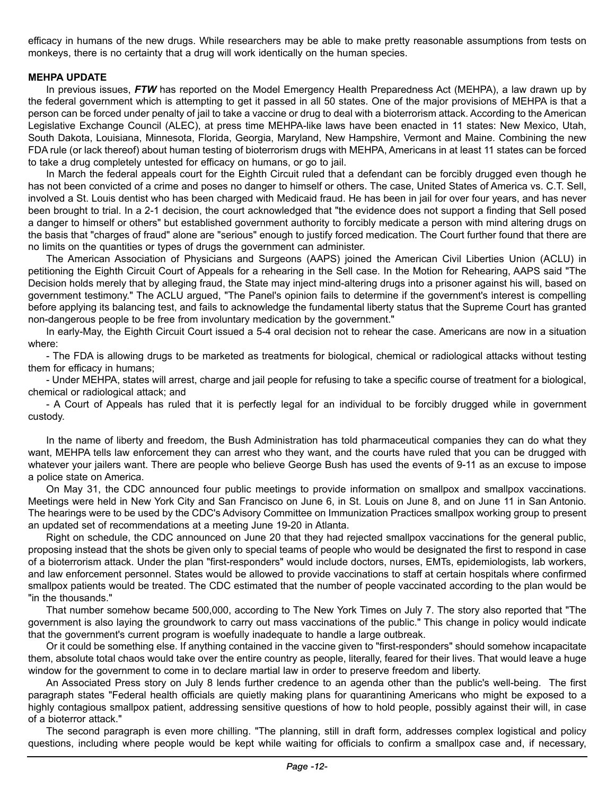efficacy in humans of the new drugs. While researchers may be able to make pretty reasonable assumptions from tests on monkeys, there is no certainty that a drug will work identically on the human species.

#### **MEHPA UPDATE**

In previous issues, *FTW* has reported on the Model Emergency Health Preparedness Act (MEHPA), a law drawn up by the federal government which is attempting to get it passed in all 50 states. One of the major provisions of MEHPA is that a person can be forced under penalty of jail to take a vaccine or drug to deal with a bioterrorism attack. According to the American Legislative Exchange Council (ALEC), at press time MEHPA-like laws have been enacted in 11 states: New Mexico, Utah, South Dakota, Louisiana, Minnesota, Florida, Georgia, Maryland, New Hampshire, Vermont and Maine. Combining the new FDA rule (or lack thereof) about human testing of bioterrorism drugs with MEHPA, Americans in at least 11 states can be forced to take a drug completely untested for efficacy on humans, or go to jail.

In March the federal appeals court for the Eighth Circuit ruled that a defendant can be forcibly drugged even though he has not been convicted of a crime and poses no danger to himself or others. The case, United States of America vs. C.T. Sell, involved a St. Louis dentist who has been charged with Medicaid fraud. He has been in jail for over four years, and has never been brought to trial. In a 2-1 decision, the court acknowledged that "the evidence does not support a finding that Sell posed a danger to himself or others" but established government authority to forcibly medicate a person with mind altering drugs on the basis that "charges of fraud" alone are "serious" enough to justify forced medication. The Court further found that there are no limits on the quantities or types of drugs the government can administer.

The American Association of Physicians and Surgeons (AAPS) joined the American Civil Liberties Union (ACLU) in petitioning the Eighth Circuit Court of Appeals for a rehearing in the Sell case. In the Motion for Rehearing, AAPS said "The Decision holds merely that by alleging fraud, the State may inject mind-altering drugs into a prisoner against his will, based on government testimony." The ACLU argued, "The Panel's opinion fails to determine if the government's interest is compelling before applying its balancing test, and fails to acknowledge the fundamental liberty status that the Supreme Court has granted non-dangerous people to be free from involuntary medication by the government."

In early-May, the Eighth Circuit Court issued a 5-4 oral decision not to rehear the case. Americans are now in a situation where:

- The FDA is allowing drugs to be marketed as treatments for biological, chemical or radiological attacks without testing them for efficacy in humans;

- Under MEHPA, states will arrest, charge and jail people for refusing to take a specific course of treatment for a biological, chemical or radiological attack; and

- A Court of Appeals has ruled that it is perfectly legal for an individual to be forcibly drugged while in government custody.

In the name of liberty and freedom, the Bush Administration has told pharmaceutical companies they can do what they want, MEHPA tells law enforcement they can arrest who they want, and the courts have ruled that you can be drugged with whatever your jailers want. There are people who believe George Bush has used the events of 9-11 as an excuse to impose a police state on America.

On May 31, the CDC announced four public meetings to provide information on smallpox and smallpox vaccinations. Meetings were held in New York City and San Francisco on June 6, in St. Louis on June 8, and on June 11 in San Antonio. The hearings were to be used by the CDC's Advisory Committee on Immunization Practices smallpox working group to present an updated set of recommendations at a meeting June 19-20 in Atlanta.

Right on schedule, the CDC announced on June 20 that they had rejected smallpox vaccinations for the general public, proposing instead that the shots be given only to special teams of people who would be designated the first to respond in case of a bioterrorism attack. Under the plan "first-responders" would include doctors, nurses, EMTs, epidemiologists, lab workers, and law enforcement personnel. States would be allowed to provide vaccinations to staff at certain hospitals where confirmed smallpox patients would be treated. The CDC estimated that the number of people vaccinated according to the plan would be "in the thousands."

That number somehow became 500,000, according to The New York Times on July 7. The story also reported that "The government is also laying the groundwork to carry out mass vaccinations of the public." This change in policy would indicate that the government's current program is woefully inadequate to handle a large outbreak.

Or it could be something else. If anything contained in the vaccine given to "first-responders" should somehow incapacitate them, absolute total chaos would take over the entire country as people, literally, feared for their lives. That would leave a huge window for the government to come in to declare martial law in order to preserve freedom and liberty.

An Associated Press story on July 8 lends further credence to an agenda other than the public's well-being. The first paragraph states "Federal health officials are quietly making plans for quarantining Americans who might be exposed to a highly contagious smallpox patient, addressing sensitive questions of how to hold people, possibly against their will, in case of a bioterror attack."

The second paragraph is even more chilling. "The planning, still in draft form, addresses complex logistical and policy questions, including where people would be kept while waiting for officials to confirm a smallpox case and, if necessary,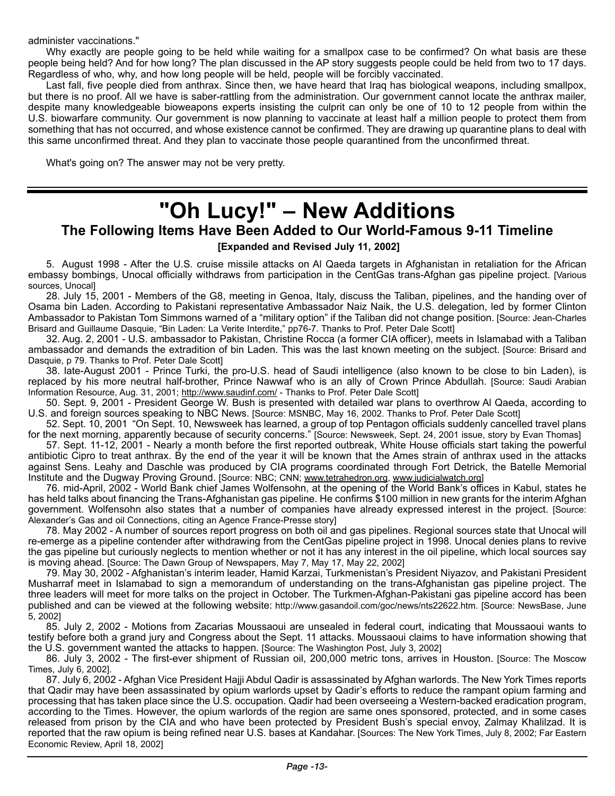administer vaccinations."

Why exactly are people going to be held while waiting for a smallpox case to be confirmed? On what basis are these people being held? And for how long? The plan discussed in the AP story suggests people could be held from two to 17 days. Regardless of who, why, and how long people will be held, people will be forcibly vaccinated.

Last fall, five people died from anthrax. Since then, we have heard that Iraq has biological weapons, including smallpox, but there is no proof. All we have is saber-rattling from the administration. Our government cannot locate the anthrax mailer, despite many knowledgeable bioweapons experts insisting the culprit can only be one of 10 to 12 people from within the U.S. biowarfare community. Our government is now planning to vaccinate at least half a million people to protect them from something that has not occurred, and whose existence cannot be confirmed. They are drawing up quarantine plans to deal with this same unconfirmed threat. And they plan to vaccinate those people quarantined from the unconfirmed threat.

What's going on? The answer may not be very pretty.

### **"Oh Lucy!" – New Additions The Following Items Have Been Added to Our World-Famous 9-11 Timeline**

**[Expanded and Revised July 11, 2002]** 

5. August 1998 - After the U.S. cruise missile attacks on Al Qaeda targets in Afghanistan in retaliation for the African embassy bombings, Unocal officially withdraws from participation in the CentGas trans-Afghan gas pipeline project. [Various sources, Unocal]

28. July 15, 2001 - Members of the G8, meeting in Genoa, Italy, discuss the Taliban, pipelines, and the handing over of Osama bin Laden. According to Pakistani representative Ambassador Naiz Naik, the U.S. delegation, led by former Clinton Ambassador to Pakistan Tom Simmons warned of a "military option" if the Taliban did not change position. [Source: Jean-Charles Brisard and Guillaume Dasquie, "Bin Laden: La Verite Interdite," pp76-7. Thanks to Prof. Peter Dale Scott]

32. Aug. 2, 2001 - U.S. ambassador to Pakistan, Christine Rocca (a former CIA officer), meets in Islamabad with a Taliban ambassador and demands the extradition of bin Laden. This was the last known meeting on the subject. [Source: Brisard and Dasquie, p 79. Thanks to Prof. Peter Dale Scott]

38. late-August 2001 - Prince Turki, the pro-U.S. head of Saudi intelligence (also known to be close to bin Laden), is replaced by his more neutral half-brother, Prince Nawwaf who is an ally of Crown Prince Abdullah. [Source: Saudi Arabian Information Resource, Aug. 31, 2001; <http://www.saudinf.com/>- Thanks to Prof. Peter Dale Scott]

50. Sept. 9, 2001 - President George W. Bush is presented with detailed war plans to overthrow Al Qaeda, according to U.S. and foreign sources speaking to NBC News. [Source: MSNBC, May 16, 2002. Thanks to Prof. Peter Dale Scott]

52. Sept. 10, 2001 "On Sept. 10, Newsweek has learned, a group of top Pentagon officials suddenly cancelled travel plans for the next morning, apparently because of security concerns." [Source: Newsweek, Sept. 24, 2001 issue, story by Evan Thomas]

57. Sept. 11-12, 2001 - Nearly a month before the first reported outbreak, White House officials start taking the powerful antibiotic Cipro to treat anthrax. By the end of the year it will be known that the Ames strain of anthrax used in the attacks against Sens. Leahy and Daschle was produced by CIA programs coordinated through Fort Detrick, the Batelle Memorial Institute and the Dugway Proving Ground. [Source: NBC; CNN; [www.tetrahedron.org](http://www.tetrahedron.org/), [www.judicialwatch.org](http://www.judicialwatch.org/)]

76. mid-April, 2002 - World Bank chief James Wolfensohn, at the opening of the World Bank's offices in Kabul, states he has held talks about financing the Trans-Afghanistan gas pipeline. He confirms \$100 million in new grants for the interim Afghan government. Wolfensohn also states that a number of companies have already expressed interest in the project. [Source: Alexander's Gas and oil Connections, citing an Agence France-Presse story]

78. May 2002 - A number of sources report progress on both oil and gas pipelines. Regional sources state that Unocal will re-emerge as a pipeline contender after withdrawing from the CentGas pipeline project in 1998. Unocal denies plans to revive the gas pipeline but curiously neglects to mention whether or not it has any interest in the oil pipeline, which local sources say is moving ahead. [Source: The Dawn Group of Newspapers, May 7, May 17, May 22, 2002]

79. May 30, 2002 - Afghanistan's interim leader, Hamid Karzai, Turkmenistan's President Niyazov, and Pakistani President Musharraf meet in Islamabad to sign a memorandum of understanding on the trans-Afghanistan gas pipeline project. The three leaders will meet for more talks on the project in October. The Turkmen-Afghan-Pakistani gas pipeline accord has been published and can be viewed at the following website: htt[p://www.gasandoil.com/goc/news/nts22622.htm.](http://www.gasandoil.com/goc/news/nts22622.htm) [Source: NewsBase, June 5, 2002]

85. July 2, 2002 - Motions from Zacarias Moussaoui are unsealed in federal court, indicating that Moussaoui wants to testify before both a grand jury and Congress about the Sept. 11 attacks. Moussaoui claims to have information showing that the U.S. government wanted the attacks to happen. [Source: The Washington Post, July 3, 2002]

86. July 3, 2002 - The first-ever shipment of Russian oil, 200,000 metric tons, arrives in Houston. [Source: The Moscow Times, July 6, 2002].

87. July 6, 2002 - Afghan Vice President Hajji Abdul Qadir is assassinated by Afghan warlords. The New York Times reports that Qadir may have been assassinated by opium warlords upset by Qadir's efforts to reduce the rampant opium farming and processing that has taken place since the U.S. occupation. Qadir had been overseeing a Western-backed eradication program, according to the Times. However, the opium warlords of the region are same ones sponsored, protected, and in some cases released from prison by the CIA and who have been protected by President Bush's special envoy, Zalmay Khalilzad. It is reported that the raw opium is being refined near U.S. bases at Kandahar. [Sources: The New York Times, July 8, 2002; Far Eastern Economic Review, April 18, 2002]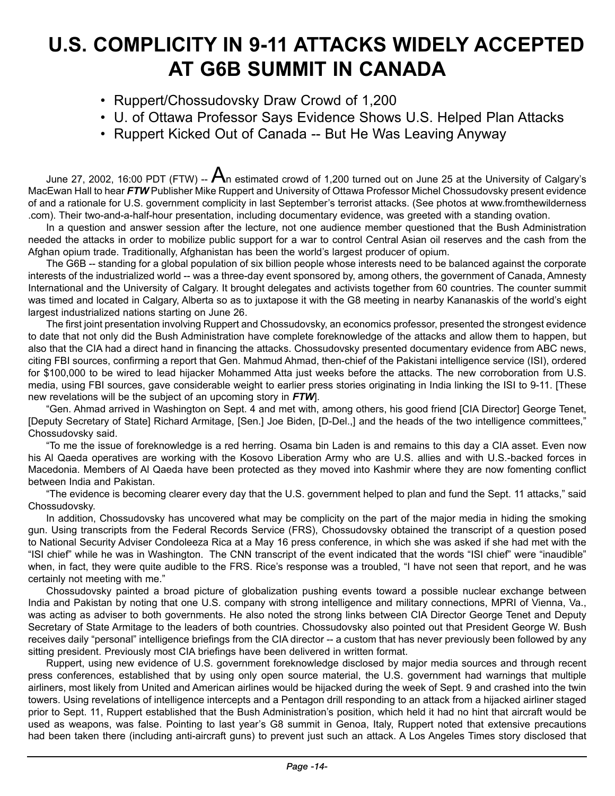# **U.S. COMPLICITY IN 9-11 ATTACKS WIDELY ACCEPTED AT G6B SUMMIT IN CANADA**

- Ruppert/Chossudovsky Draw Crowd of 1,200
- U. of Ottawa Professor Says Evidence Shows U.S. Helped Plan Attacks
- Ruppert Kicked Out of Canada -- But He Was Leaving Anyway

June 27, 2002, 16:00 PDT (FTW) --  $A_n$  estimated crowd of 1,200 turned out on June 25 at the University of Calgary's MacEwan Hall to hear *FTW* Publisher Mike Ruppert and University of Ottawa Professor Michel Chossudovsky present evidence of and a rationale for U.S. government complicity in last September's terrorist attacks. (See photos at www.fromthewilderness .com). Their two-and-a-half-hour presentation, including documentary evidence, was greeted with a standing ovation.

In a question and answer session after the lecture, not one audience member questioned that the Bush Administration needed the attacks in order to mobilize public support for a war to control Central Asian oil reserves and the cash from the Afghan opium trade. Traditionally, Afghanistan has been the world's largest producer of opium.

The G6B -- standing for a global population of six billion people whose interests need to be balanced against the corporate interests of the industrialized world -- was a three-day event sponsored by, among others, the government of Canada, Amnesty International and the University of Calgary. It brought delegates and activists together from 60 countries. The counter summit was timed and located in Calgary, Alberta so as to juxtapose it with the G8 meeting in nearby Kananaskis of the world's eight largest industrialized nations starting on June 26.

The first joint presentation involving Ruppert and Chossudovsky, an economics professor, presented the strongest evidence to date that not only did the Bush Administration have complete foreknowledge of the attacks and allow them to happen, but also that the CIA had a direct hand in financing the attacks. Chossudovsky presented documentary evidence from ABC news, citing FBI sources, confirming a report that Gen. Mahmud Ahmad, then-chief of the Pakistani intelligence service (ISI), ordered for \$100,000 to be wired to lead hijacker Mohammed Atta just weeks before the attacks. The new corroboration from U.S. media, using FBI sources, gave considerable weight to earlier press stories originating in India linking the ISI to 9-11. [These new revelations will be the subject of an upcoming story in *FTW*].

"Gen. Ahmad arrived in Washington on Sept. 4 and met with, among others, his good friend [CIA Director] George Tenet, [Deputy Secretary of State] Richard Armitage, [Sen.] Joe Biden, [D-Del.,] and the heads of the two intelligence committees," Chossudovsky said.

"To me the issue of foreknowledge is a red herring. Osama bin Laden is and remains to this day a CIA asset. Even now his Al Qaeda operatives are working with the Kosovo Liberation Army who are U.S. allies and with U.S.-backed forces in Macedonia. Members of Al Qaeda have been protected as they moved into Kashmir where they are now fomenting conflict between India and Pakistan.

"The evidence is becoming clearer every day that the U.S. government helped to plan and fund the Sept. 11 attacks," said Chossudovsky.

In addition, Chossudovsky has uncovered what may be complicity on the part of the major media in hiding the smoking gun. Using transcripts from the Federal Records Service (FRS), Chossudovsky obtained the transcript of a question posed to National Security Adviser Condoleeza Rica at a May 16 press conference, in which she was asked if she had met with the "ISI chief" while he was in Washington. The CNN transcript of the event indicated that the words "ISI chief" were "inaudible" when, in fact, they were quite audible to the FRS. Rice's response was a troubled, "I have not seen that report, and he was certainly not meeting with me."

Chossudovsky painted a broad picture of globalization pushing events toward a possible nuclear exchange between India and Pakistan by noting that one U.S. company with strong intelligence and military connections, MPRI of Vienna, Va., was acting as adviser to both governments. He also noted the strong links between CIA Director George Tenet and Deputy Secretary of State Armitage to the leaders of both countries. Chossudovsky also pointed out that President George W. Bush receives daily "personal" intelligence briefings from the CIA director -- a custom that has never previously been followed by any sitting president. Previously most CIA briefings have been delivered in written format.

Ruppert, using new evidence of U.S. government foreknowledge disclosed by major media sources and through recent press conferences, established that by using only open source material, the U.S. government had warnings that multiple airliners, most likely from United and American airlines would be hijacked during the week of Sept. 9 and crashed into the twin towers. Using revelations of intelligence intercepts and a Pentagon drill responding to an attack from a hijacked airliner staged prior to Sept. 11, Ruppert established that the Bush Administration's position, which held it had no hint that aircraft would be used as weapons, was false. Pointing to last year's G8 summit in Genoa, Italy, Ruppert noted that extensive precautions had been taken there (including anti-aircraft guns) to prevent just such an attack. A Los Angeles Times story disclosed that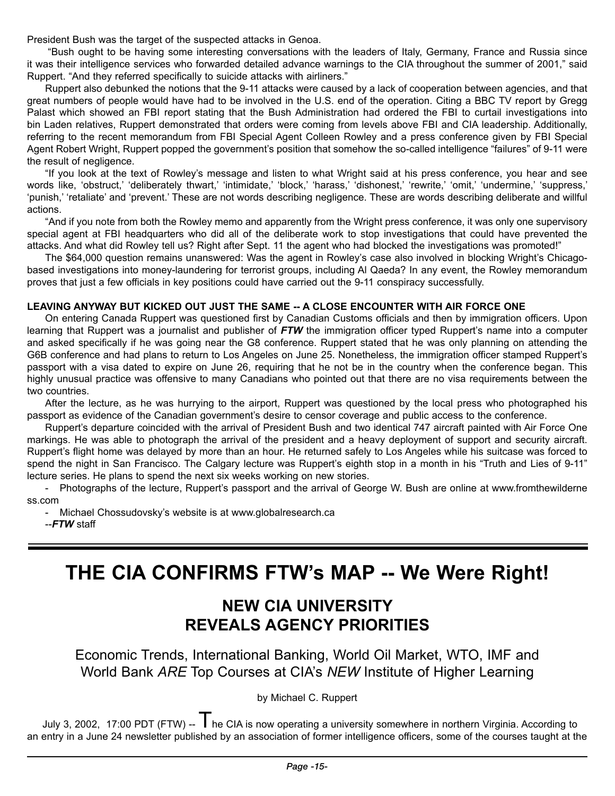President Bush was the target of the suspected attacks in Genoa.

 "Bush ought to be having some interesting conversations with the leaders of Italy, Germany, France and Russia since it was their intelligence services who forwarded detailed advance warnings to the CIA throughout the summer of 2001," said Ruppert. "And they referred specifically to suicide attacks with airliners."

Ruppert also debunked the notions that the 9-11 attacks were caused by a lack of cooperation between agencies, and that great numbers of people would have had to be involved in the U.S. end of the operation. Citing a BBC TV report by Gregg Palast which showed an FBI report stating that the Bush Administration had ordered the FBI to curtail investigations into bin Laden relatives, Ruppert demonstrated that orders were coming from levels above FBI and CIA leadership. Additionally, referring to the recent memorandum from FBI Special Agent Colleen Rowley and a press conference given by FBI Special Agent Robert Wright, Ruppert popped the government's position that somehow the so-called intelligence "failures" of 9-11 were the result of negligence.

"If you look at the text of Rowley's message and listen to what Wright said at his press conference, you hear and see words like, 'obstruct,' 'deliberately thwart,' 'intimidate,' 'block,' 'harass,' 'dishonest,' 'rewrite,' 'omit,' 'undermine,' 'suppress,' 'punish,' 'retaliate' and 'prevent.' These are not words describing negligence. These are words describing deliberate and willful actions.

"And if you note from both the Rowley memo and apparently from the Wright press conference, it was only one supervisory special agent at FBI headquarters who did all of the deliberate work to stop investigations that could have prevented the attacks. And what did Rowley tell us? Right after Sept. 11 the agent who had blocked the investigations was promoted!"

The \$64,000 question remains unanswered: Was the agent in Rowley's case also involved in blocking Wright's Chicagobased investigations into money-laundering for terrorist groups, including Al Qaeda? In any event, the Rowley memorandum proves that just a few officials in key positions could have carried out the 9-11 conspiracy successfully.

#### **LEAVING ANYWAY BUT KICKED OUT JUST THE SAME -- A CLOSE ENCOUNTER WITH AIR FORCE ONE**

On entering Canada Ruppert was questioned first by Canadian Customs officials and then by immigration officers. Upon learning that Ruppert was a journalist and publisher of *FTW* the immigration officer typed Ruppert's name into a computer and asked specifically if he was going near the G8 conference. Ruppert stated that he was only planning on attending the G6B conference and had plans to return to Los Angeles on June 25. Nonetheless, the immigration officer stamped Ruppert's passport with a visa dated to expire on June 26, requiring that he not be in the country when the conference began. This highly unusual practice was offensive to many Canadians who pointed out that there are no visa requirements between the two countries.

After the lecture, as he was hurrying to the airport, Ruppert was questioned by the local press who photographed his passport as evidence of the Canadian government's desire to censor coverage and public access to the conference.

Ruppert's departure coincided with the arrival of President Bush and two identical 747 aircraft painted with Air Force One markings. He was able to photograph the arrival of the president and a heavy deployment of support and security aircraft. Ruppert's flight home was delayed by more than an hour. He returned safely to Los Angeles while his suitcase was forced to spend the night in San Francisco. The Calgary lecture was Ruppert's eighth stop in a month in his "Truth and Lies of 9-11" lecture series. He plans to spend the next six weeks working on new stories.

- Photographs of the lecture, Ruppert's passport and the arrival of George W. Bush are online at www.fromthewilderne ss.com

- Michael Chossudovsky's website is at www.globalresearch.ca --*FTW* staff

# **THE CIA CONFIRMS FTW's MAP -- We Were Right!**

### **NEW CIA UNIVERSITY REVEALS AGENCY PRIORITIES**

Economic Trends, International Banking, World Oil Market, WTO, IMF and World Bank *ARE* Top Courses at CIA's *NEW* Institute of Higher Learning

by Michael C. Ruppert

July 3, 2002, 17:00 PDT (FTW) --  $\overline{T}$  he CIA is now operating a university somewhere in northern Virginia. According to an entry in a June 24 newsletter published by an association of former intelligence officers, some of the courses taught at the